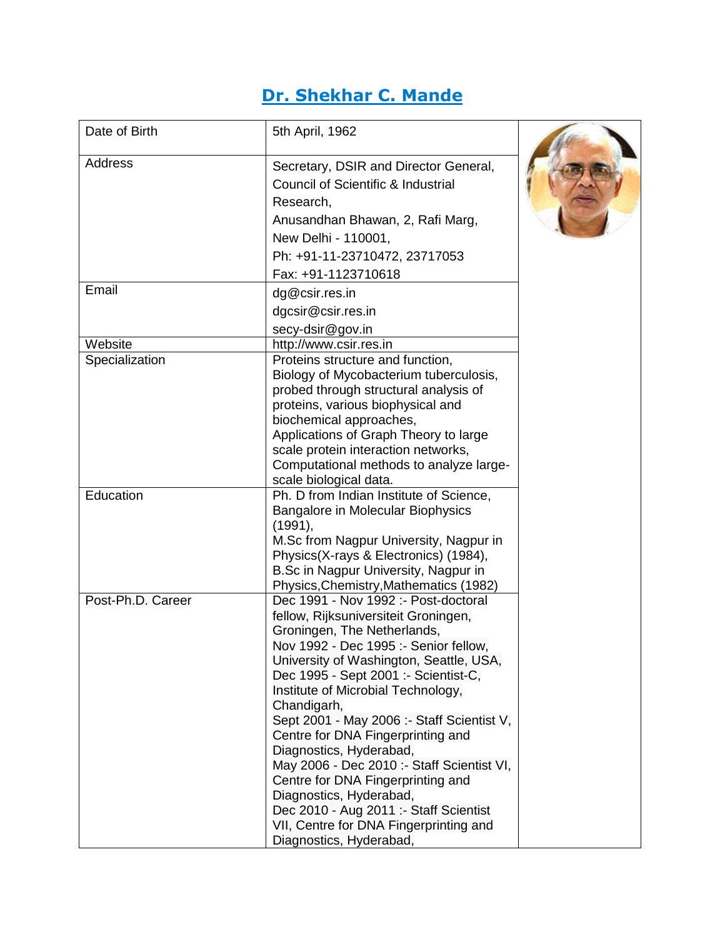## **Dr. Shekhar C. Mande**

| Date of Birth     | 5th April, 1962                                                                                                                                                                                                                                                                                                                                                                                                                                                                                                                                                    |  |
|-------------------|--------------------------------------------------------------------------------------------------------------------------------------------------------------------------------------------------------------------------------------------------------------------------------------------------------------------------------------------------------------------------------------------------------------------------------------------------------------------------------------------------------------------------------------------------------------------|--|
| <b>Address</b>    | Secretary, DSIR and Director General,<br>Council of Scientific & Industrial<br>Research,                                                                                                                                                                                                                                                                                                                                                                                                                                                                           |  |
|                   | Anusandhan Bhawan, 2, Rafi Marg,                                                                                                                                                                                                                                                                                                                                                                                                                                                                                                                                   |  |
|                   | New Delhi - 110001,                                                                                                                                                                                                                                                                                                                                                                                                                                                                                                                                                |  |
|                   | Ph: +91-11-23710472, 23717053                                                                                                                                                                                                                                                                                                                                                                                                                                                                                                                                      |  |
| Email             | Fax: +91-1123710618                                                                                                                                                                                                                                                                                                                                                                                                                                                                                                                                                |  |
|                   | dg@csir.res.in                                                                                                                                                                                                                                                                                                                                                                                                                                                                                                                                                     |  |
|                   | dgcsir@csir.res.in                                                                                                                                                                                                                                                                                                                                                                                                                                                                                                                                                 |  |
|                   | secy-dsir@gov.in                                                                                                                                                                                                                                                                                                                                                                                                                                                                                                                                                   |  |
| Website           | http://www.csir.res.in                                                                                                                                                                                                                                                                                                                                                                                                                                                                                                                                             |  |
| Specialization    | Proteins structure and function,<br>Biology of Mycobacterium tuberculosis,<br>probed through structural analysis of<br>proteins, various biophysical and<br>biochemical approaches,<br>Applications of Graph Theory to large<br>scale protein interaction networks,<br>Computational methods to analyze large-<br>scale biological data.                                                                                                                                                                                                                           |  |
| Education         | Ph. D from Indian Institute of Science,                                                                                                                                                                                                                                                                                                                                                                                                                                                                                                                            |  |
|                   | <b>Bangalore in Molecular Biophysics</b><br>(1991),<br>M.Sc from Nagpur University, Nagpur in<br>Physics(X-rays & Electronics) (1984),<br>B.Sc in Nagpur University, Nagpur in<br>Physics, Chemistry, Mathematics (1982)                                                                                                                                                                                                                                                                                                                                           |  |
| Post-Ph.D. Career | Dec 1991 - Nov 1992 :- Post-doctoral<br>fellow, Rijksuniversiteit Groningen,<br>Groningen, The Netherlands,<br>Nov 1992 - Dec 1995 :- Senior fellow.<br>University of Washington, Seattle, USA,<br>Dec 1995 - Sept 2001 :- Scientist-C,<br>Institute of Microbial Technology,<br>Chandigarh,<br>Sept 2001 - May 2006 :- Staff Scientist V,<br>Centre for DNA Fingerprinting and<br>Diagnostics, Hyderabad,<br>May 2006 - Dec 2010 :- Staff Scientist VI,<br>Centre for DNA Fingerprinting and<br>Diagnostics, Hyderabad,<br>Dec 2010 - Aug 2011 :- Staff Scientist |  |
|                   | VII, Centre for DNA Fingerprinting and<br>Diagnostics, Hyderabad,                                                                                                                                                                                                                                                                                                                                                                                                                                                                                                  |  |